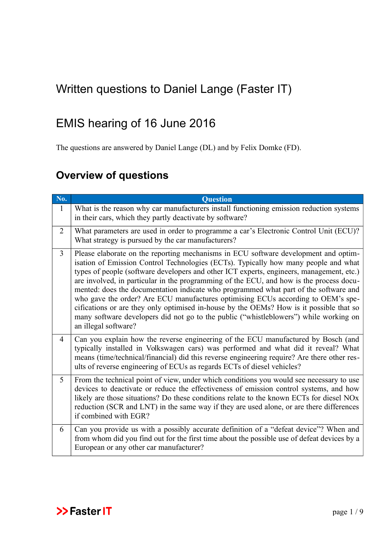## <span id="page-0-0"></span>Written questions to Daniel Lange (Faster IT)

## EMIS hearing of 16 June 2016

The questions are answered by Daniel Lange (DL) and by Felix Domke (FD).

## **Overview of questions**

| No.            | <b>Question</b>                                                                                                                                                                                                                                                                                                                                                                                                                                                                                                                                                                                                                                                                                                                                           |
|----------------|-----------------------------------------------------------------------------------------------------------------------------------------------------------------------------------------------------------------------------------------------------------------------------------------------------------------------------------------------------------------------------------------------------------------------------------------------------------------------------------------------------------------------------------------------------------------------------------------------------------------------------------------------------------------------------------------------------------------------------------------------------------|
| $\mathbf{1}$   | What is the reason why car manufacturers install functioning emission reduction systems<br>in their cars, which they partly deactivate by software?                                                                                                                                                                                                                                                                                                                                                                                                                                                                                                                                                                                                       |
| $\overline{2}$ | What parameters are used in order to programme a car's Electronic Control Unit (ECU)?<br>What strategy is pursued by the car manufacturers?                                                                                                                                                                                                                                                                                                                                                                                                                                                                                                                                                                                                               |
| $\overline{3}$ | Please elaborate on the reporting mechanisms in ECU software development and optim-<br>isation of Emission Control Technologies (ECTs). Typically how many people and what<br>types of people (software developers and other ICT experts, engineers, management, etc.)<br>are involved, in particular in the programming of the ECU, and how is the process docu-<br>mented: does the documentation indicate who programmed what part of the software and<br>who gave the order? Are ECU manufactures optimising ECUs according to OEM's spe-<br>cifications or are they only optimised in-house by the OEMs? How is it possible that so<br>many software developers did not go to the public ("whistleblowers") while working on<br>an illegal software? |
| $\overline{4}$ | Can you explain how the reverse engineering of the ECU manufactured by Bosch (and<br>typically installed in Volkswagen cars) was performed and what did it reveal? What<br>means (time/technical/financial) did this reverse engineering require? Are there other res-<br>ults of reverse engineering of ECUs as regards ECTs of diesel vehicles?                                                                                                                                                                                                                                                                                                                                                                                                         |
| 5              | From the technical point of view, under which conditions you would see necessary to use<br>devices to deactivate or reduce the effectiveness of emission control systems, and how<br>likely are those situations? Do these conditions relate to the known ECTs for diesel NOx<br>reduction (SCR and LNT) in the same way if they are used alone, or are there differences<br>if combined with EGR?                                                                                                                                                                                                                                                                                                                                                        |
| 6              | Can you provide us with a possibly accurate definition of a "defeat device"? When and<br>from whom did you find out for the first time about the possible use of defeat devices by a<br>European or any other car manufacturer?                                                                                                                                                                                                                                                                                                                                                                                                                                                                                                                           |

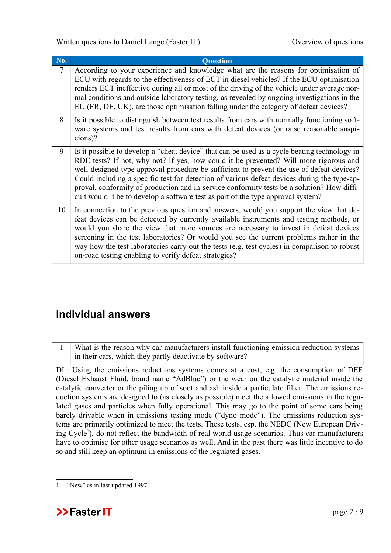[Written questions to Daniel Lange \(Faster IT\)](#page-0-0) Overview of questions

| <b>No.</b> | <b>Question</b>                                                                                                                                                                                                                                                                                                                                                                                                                                                                                                                                                     |
|------------|---------------------------------------------------------------------------------------------------------------------------------------------------------------------------------------------------------------------------------------------------------------------------------------------------------------------------------------------------------------------------------------------------------------------------------------------------------------------------------------------------------------------------------------------------------------------|
| 7          | According to your experience and knowledge what are the reasons for optimisation of<br>ECU with regards to the effectiveness of ECT in diesel vehicles? If the ECU optimisation<br>renders ECT ineffective during all or most of the driving of the vehicle under average nor-<br>mal conditions and outside laboratory testing, as revealed by ongoing investigations in the<br>EU (FR, DE, UK), are those optimisation falling under the category of defeat devices?                                                                                              |
| 8          | Is it possible to distinguish between test results from cars with normally functioning soft-<br>ware systems and test results from cars with defeat devices (or raise reasonable suspi-<br>cions)?                                                                                                                                                                                                                                                                                                                                                                  |
| 9          | Is it possible to develop a "cheat device" that can be used as a cycle beating technology in<br>RDE-tests? If not, why not? If yes, how could it be prevented? Will more rigorous and<br>well-designed type approval procedure be sufficient to prevent the use of defeat devices?<br>Could including a specific test for detection of various defeat devices during the type-ap-<br>proval, conformity of production and in-service conformity tests be a solution? How diffi-<br>cult would it be to develop a software test as part of the type approval system? |
| 10         | In connection to the previous question and answers, would you support the view that de-<br>feat devices can be detected by currently available instruments and testing methods, or<br>would you share the view that more sources are necessary to invest in defeat devices<br>screening in the test laboratories? Or would you see the current problems rather in the<br>way how the test laboratories carry out the tests (e.g. test cycles) in comparison to robust<br>on-road testing enabling to verify defeat strategies?                                      |

## **Individual answers**

1 What is the reason why car manufacturers install functioning emission reduction systems in their cars, which they partly deactivate by software?

DL: Using the emissions reductions systems comes at a cost, e.g. the consumption of DEF (Diesel Exhaust Fluid, brand name "AdBlue") or the wear on the catalytic material inside the catalytic converter or the piling up of soot and ash inside a particulate filter. The emissions reduction systems are designed to (as closely as possible) meet the allowed emissions in the regulated gases and particles when fully operational. This may go to the point of some cars being barely drivable when in emissions testing mode ("dyno mode"). The emissions reduction systems are primarily optimized to meet the tests. These tests, esp. the NEDC (New European Driv-ing Cycle<sup>[1](#page-1-0)</sup>), do not reflect the bandwidth of real world usage scenarios. Thus car manufacturers have to optimise for other usage scenarios as well. And in the past there was little incentive to do so and still keep an optimum in emissions of the regulated gases.

<span id="page-1-0"></span><sup>1</sup> "New" as in last updated 1997.

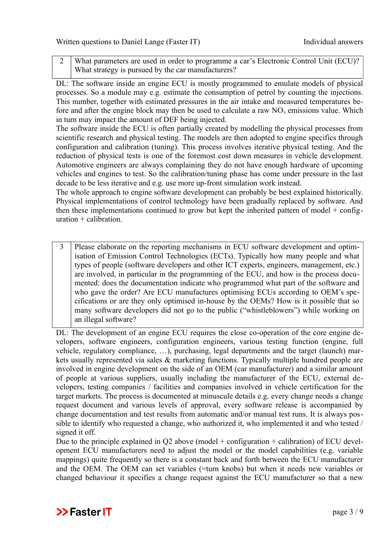2 What parameters are used in order to programme a car's Electronic Control Unit (ECU)? What strategy is pursued by the car manufacturers?

DL: The software inside an engine ECU is mostly programmed to emulate models of physical processes. So a module may e.g. estimate the consumption of petrol by counting the injections. This number, together with estimated pressures in the air intake and measured temperatures before and after the engine block may then be used to calculate a raw  $NO<sub>x</sub>$  emissions value. Which in turn may impact the amount of DEF being injected.

The software inside the ECU is often partially created by modelling the physical processes from scientific research and physical testing. The models are then adopted to engine specifics through configuration and calibration (tuning). This process involves iterative physical testing. And the reduction of physical tests is one of the foremost cost down measures in vehicle development. Automotive engineers are always complaining they do not have enough hardware of upcoming vehicles and engines to test. So the calibration/tuning phase has come under pressure in the last decade to be less iterative and e.g. use more up-front simulation work instead.

The whole approach to engine software development can probably be best explained historically. Physical implementations of control technology have been gradually replaced by software. And then these implementations continued to grow but kept the inherited pattern of model + configuration + calibration.

3 Please elaborate on the reporting mechanisms in ECU software development and optimisation of Emission Control Technologies (ECTs). Typically how many people and what types of people (software developers and other ICT experts, engineers, management, etc.) are involved, in particular in the programming of the ECU, and how is the process documented: does the documentation indicate who programmed what part of the software and who gave the order? Are ECU manufactures optimising ECUs according to OEM's specifications or are they only optimised in-house by the OEMs? How is it possible that so many software developers did not go to the public ("whistleblowers") while working on an illegal software?

DL: The development of an engine ECU requires the close co-operation of the core engine developers, software engineers, configuration engineers, various testing function (engine, full vehicle, regulatory compliance, …), purchasing, legal departments and the target (launch) markets usually represented via sales & marketing functions. Typically multiple hundred people are involved in engine development on the side of an OEM (car manufacturer) and a similar amount of people at various suppliers, usually including the manufacturer of the ECU, external developers, testing companies / facilities and companies involved in vehicle certification for the target markets. The process is documented at minuscule details e.g. every change needs a change request document and various levels of approval, every software release is accompanied by change documentation and test results from automatic and/or manual test runs. It is always possible to identify who requested a change, who authorized it, who implemented it and who tested / signed it off.

Due to the principle explained in Q2 above (model  $+$  configuration  $+$  calibration) of ECU development ECU manufacturers need to adjust the model or the model capabilities (e.g. variable mappings) quite frequently so there is a constant back and forth between the ECU manufacturer and the OEM. The OEM can set variables (=turn knobs) but when it needs new variables or changed behaviour it specifies a change request against the ECU manufacturer so that a new

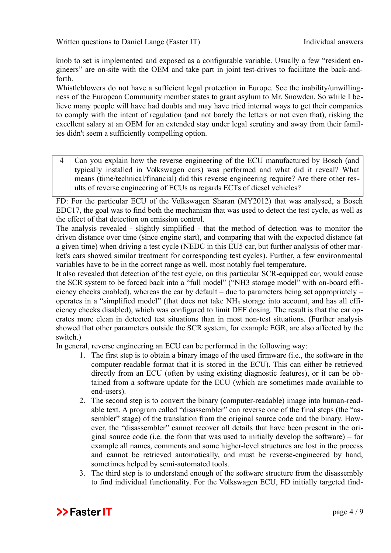knob to set is implemented and exposed as a configurable variable. Usually a few "resident engineers" are on-site with the OEM and take part in joint test-drives to facilitate the back-andforth.

Whistleblowers do not have a sufficient legal protection in Europe. See the inability/unwillingness of the European Community member states to grant asylum to Mr. Snowden. So while I believe many people will have had doubts and may have tried internal ways to get their companies to comply with the intent of regulation (and not barely the letters or not even that), risking the excellent salary at an OEM for an extended stay under legal scrutiny and away from their families didn't seem a sufficiently compelling option.

4 Can you explain how the reverse engineering of the ECU manufactured by Bosch (and typically installed in Volkswagen cars) was performed and what did it reveal? What means (time/technical/financial) did this reverse engineering require? Are there other results of reverse engineering of ECUs as regards ECTs of diesel vehicles?

FD: For the particular ECU of the Volkswagen Sharan (MY2012) that was analysed, a Bosch EDC17, the goal was to find both the mechanism that was used to detect the test cycle, as well as the effect of that detection on emission control.

The analysis revealed - slightly simplified - that the method of detection was to monitor the driven distance over time (since engine start), and comparing that with the expected distance (at a given time) when driving a test cycle (NEDC in this EU5 car, but further analysis of other market's cars showed similar treatment for corresponding test cycles). Further, a few environmental variables have to be in the correct range as well, most notably fuel temperature.

It also revealed that detection of the test cycle, on this particular SCR-equipped car, would cause the SCR system to be forced back into a "full model" ("NH3 storage model" with on-board efficiency checks enabled), whereas the car by default – due to parameters being set appropriately – operates in a "simplified model" (that does not take NH<sub>3</sub> storage into account, and has all efficiency checks disabled), which was configured to limit DEF dosing. The result is that the car operates more clean in detected test situations than in most non-test situations. (Further analysis showed that other parameters outside the SCR system, for example EGR, are also affected by the switch.)

In general, reverse engineering an ECU can be performed in the following way:

- 1. The first step is to obtain a binary image of the used firmware (i.e., the software in the computer-readable format that it is stored in the ECU). This can either be retrieved directly from an ECU (often by using existing diagnostic features), or it can be obtained from a software update for the ECU (which are sometimes made available to end-users).
- 2. The second step is to convert the binary (computer-readable) image into human-readable text. A program called "disassembler" can reverse one of the final steps (the "assembler" stage) of the translation from the original source code and the binary. However, the "disassembler" cannot recover all details that have been present in the original source code (i.e. the form that was used to initially develop the software) – for example all names, comments and some higher-level structures are lost in the process and cannot be retrieved automatically, and must be reverse-engineered by hand, sometimes helped by semi-automated tools.
- 3. The third step is to understand enough of the software structure from the disassembly to find individual functionality. For the Volkswagen ECU, FD initially targeted find-

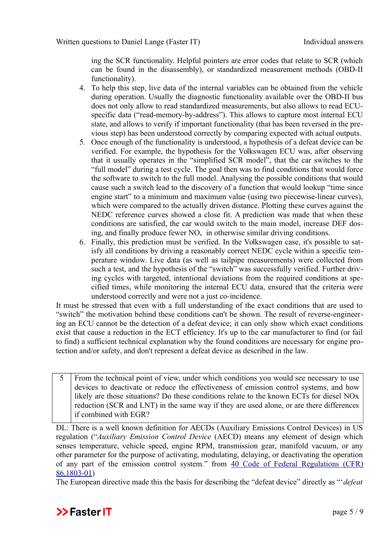ing the SCR functionality. Helpful pointers are error codes that relate to SCR (which can be found in the disassembly), or standardized measurement methods (OBD-II functionality).

- 4. To help this step, live data of the internal variables can be obtained from the vehicle during operation. Usually the diagnostic functionality available over the OBD-II bus does not only allow to read standardized measurements, but also allows to read ECUspecific data ("read-memory-by-address"). This allows to capture most internal ECU state, and allows to verify if important functionality (that has been reversed in the previous step) has been understood correctly by comparing expected with actual outputs.
- 5. Once enough of the functionality is understood, a hypothesis of a defeat device can be verified. For example, the hypothesis for the Volkswagen ECU was, after observing that it usually operates in the "simplified SCR model", that the car switches to the "full model" during a test cycle. The goal then was to find conditions that would force the software to switch to the full model. Analysing the possible conditions that would cause such a switch lead to the discovery of a function that would lookup "time since engine start" to a minimum and maximum value (using two piecewise-linear curves), which were compared to the actually driven distance. Plotting these curves against the NEDC reference curves showed a close fit. A prediction was made that when these conditions are satisfied, the car would switch to the main model, increase DEF dosing, and finally produce fewer  $NO<sub>x</sub>$  in otherwise similar driving conditions.
- 6. Finally, this prediction must be verified. In the Volkswagen case, it's possible to satisfy all conditions by driving a reasonably correct NEDC cycle within a specific temperature window. Live data (as well as tailpipe measurements) were collected from such a test, and the hypothesis of the "switch" was successfully verified. Further driving cycles with targeted, intentional deviations from the required conditions at specified times, while monitoring the internal ECU data, ensured that the criteria were understood correctly and were not a just co-incidence.

It must be stressed that even with a full understanding of the exact conditions that are used to "switch" the motivation behind these conditions can't be shown. The result of reverse-engineering an ECU cannot be the detection of a defeat device; it can only show which exact conditions exist that cause a reduction in the ECT efficiency. It's up to the car manufacturer to find (or fail to find) a sufficient technical explanation why the found conditions are necessary for engine protection and/or safety, and don't represent a defeat device as described in the law.

5 From the technical point of view, under which conditions you would see necessary to use devices to deactivate or reduce the effectiveness of emission control systems, and how likely are those situations? Do these conditions relate to the known ECTs for diesel NOx reduction (SCR and LNT) in the same way if they are used alone, or are there differences if combined with EGR?

DL: There is a well known definition for AECDs (Auxiliary Emissions Control Devices) in US regulation ("*Auxiliary Emission Control Device* (AECD) means any element of design which senses temperature, vehicle speed, engine RPM, transmission gear, manifold vacuum, or any other parameter for the purpose of activating, modulating, delaying, or deactivating the operation of any part of the emission control system." from [40 Code of Federal Regulations \(CFR\)](https://www.law.cornell.edu/cfr/text/40/86.1803-01) [86.1803-01\)](https://www.law.cornell.edu/cfr/text/40/86.1803-01)

The European directive made this the basis for describing the "defeat device" directly as "'*defeat*

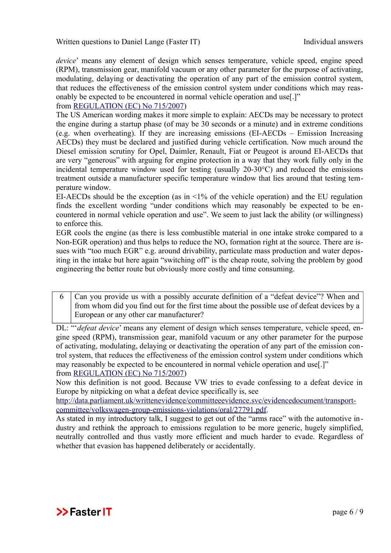[Written questions to Daniel Lange \(Faster IT\)](#page-0-0) Individual answers

*device*' means any element of design which senses temperature, vehicle speed, engine speed (RPM), transmission gear, manifold vacuum or any other parameter for the purpose of activating, modulating, delaying or deactivating the operation of any part of the emission control system, that reduces the effectiveness of the emission control system under conditions which may reasonably be expected to be encountered in normal vehicle operation and use[.]"

from [REGULATION \(EC\) No 715/2007\)](http://eur-lex.europa.eu/LexUriServ/LexUriServ.do?uri=OJ:L:2007:171:0001:0016:EN:PDF)

The US American wording makes it more simple to explain: AECDs may be necessary to protect the engine during a startup phase (of may be 30 seconds or a minute) and in extreme conditions (e.g. when overheating). If they are increasing emissions (EI-AECDs – Emission Increasing AECDs) they must be declared and justified during vehicle certification. Now much around the Diesel emission scrutiny for Opel, Daimler, Renault, Fiat or Peugeot is around EI-AECDs that are very "generous" with arguing for engine protection in a way that they work fully only in the incidental temperature window used for testing (usually 20-30°C) and reduced the emissions treatment outside a manufacturer specific temperature window that lies around that testing temperature window.

EI-AECDs should be the exception (as in  $\leq 1\%$  of the vehicle operation) and the EU regulation finds the excellent wording "under conditions which may reasonably be expected to be encountered in normal vehicle operation and use". We seem to just lack the ability (or willingness) to enforce this.

EGR cools the engine (as there is less combustible material in one intake stroke compared to a Non-EGR operation) and thus helps to reduce the  $NO<sub>x</sub>$  formation right at the source. There are issues with "too much EGR" e.g. around drivability, particulate mass production and water depositing in the intake but here again "switching off" is the cheap route, solving the problem by good engineering the better route but obviously more costly and time consuming.

6 Can you provide us with a possibly accurate definition of a "defeat device"? When and from whom did you find out for the first time about the possible use of defeat devices by a European or any other car manufacturer?

DL: "'*defeat device*' means any element of design which senses temperature, vehicle speed, engine speed (RPM), transmission gear, manifold vacuum or any other parameter for the purpose of activating, modulating, delaying or deactivating the operation of any part of the emission control system, that reduces the effectiveness of the emission control system under conditions which may reasonably be expected to be encountered in normal vehicle operation and use[.]" from [REGULATION \(EC\) No 715/2007\)](http://eur-lex.europa.eu/LexUriServ/LexUriServ.do?uri=OJ:L:2007:171:0001:0016:EN:PDF)

Now this definition is not good. Because VW tries to evade confessing to a defeat device in Europe by nitpicking on what a defeat device specifically is, see

[http://data.parliament.uk/writtenevidence/committeeevidence.svc/evidencedocument/transport](http://data.parliament.uk/writtenevidence/committeeevidence.svc/evidencedocument/transport-committee/volkswagen-group-emissions-violations/oral/27791.pdf)[committee/volkswagen-group-emissions-violations/oral/27791.pdf.](http://data.parliament.uk/writtenevidence/committeeevidence.svc/evidencedocument/transport-committee/volkswagen-group-emissions-violations/oral/27791.pdf)

As stated in my introductory talk, I suggest to get out of the "arms race" with the automotive industry and rethink the approach to emissions regulation to be more generic, hugely simplified, neutrally controlled and thus vastly more efficient and much harder to evade. Regardless of whether that evasion has happened deliberately or accidentally.

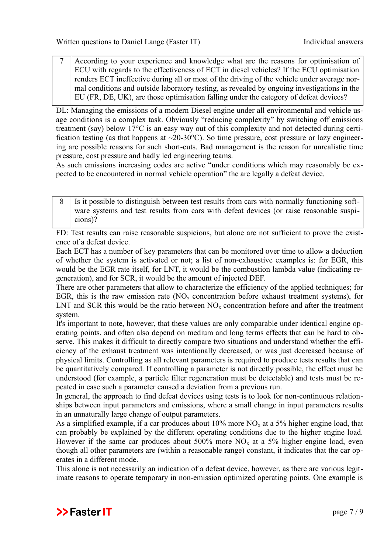7 According to your experience and knowledge what are the reasons for optimisation of ECU with regards to the effectiveness of ECT in diesel vehicles? If the ECU optimisation renders ECT ineffective during all or most of the driving of the vehicle under average normal conditions and outside laboratory testing, as revealed by ongoing investigations in the EU (FR, DE, UK), are those optimisation falling under the category of defeat devices?

DL: Managing the emissions of a modern Diesel engine under all environmental and vehicle usage conditions is a complex task. Obviously "reducing complexity" by switching off emissions treatment (say) below 17°C is an easy way out of this complexity and not detected during certification testing (as that happens at  $\sim$ 20-30°C). So time pressure, cost pressure or lazy engineering are possible reasons for such short-cuts. Bad management is the reason for unrealistic time pressure, cost pressure and badly led engineering teams.

As such emissions increasing codes are active "under conditions which may reasonably be expected to be encountered in normal vehicle operation" the are legally a defeat device.

8 Is it possible to distinguish between test results from cars with normally functioning software systems and test results from cars with defeat devices (or raise reasonable suspicions)?

FD: Test results can raise reasonable suspicions, but alone are not sufficient to prove the existence of a defeat device.

Each ECT has a number of key parameters that can be monitored over time to allow a deduction of whether the system is activated or not; a list of non-exhaustive examples is: for EGR, this would be the EGR rate itself, for LNT, it would be the combustion lambda value (indicating regeneration), and for SCR, it would be the amount of injected DEF.

There are other parameters that allow to characterize the efficiency of the applied techniques; for EGR, this is the raw emission rate  $(NO<sub>x</sub>$  concentration before exhaust treatment systems), for LNT and SCR this would be the ratio between  $NO<sub>x</sub>$  concentration before and after the treatment system.

It's important to note, however, that these values are only comparable under identical engine operating points, and often also depend on medium and long terms effects that can be hard to observe. This makes it difficult to directly compare two situations and understand whether the efficiency of the exhaust treatment was intentionally decreased, or was just decreased because of physical limits. Controlling as all relevant parameters is required to produce tests results that can be quantitatively compared. If controlling a parameter is not directly possible, the effect must be understood (for example, a particle filter regeneration must be detectable) and tests must be repeated in case such a parameter caused a deviation from a previous run.

In general, the approach to find defeat devices using tests is to look for non-continuous relationships between input parameters and emissions, where a small change in input parameters results in an unnaturally large change of output parameters.

As a simplified example, if a car produces about  $10\%$  more NO<sub>x</sub> at a 5% higher engine load, that can probably be explained by the different operating conditions due to the higher engine load. However if the same car produces about 500% more  $NO<sub>x</sub>$  at a 5% higher engine load, even though all other parameters are (within a reasonable range) constant, it indicates that the car operates in a different mode.

This alone is not necessarily an indication of a defeat device, however, as there are various legitimate reasons to operate temporary in non-emission optimized operating points. One example is

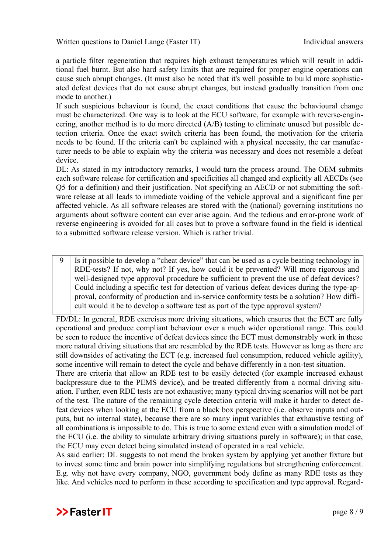a particle filter regeneration that requires high exhaust temperatures which will result in additional fuel burnt. But also hard safety limits that are required for proper engine operations can cause such abrupt changes. (It must also be noted that it's well possible to build more sophisticated defeat devices that do not cause abrupt changes, but instead gradually transition from one mode to another.)

If such suspicious behaviour is found, the exact conditions that cause the behavioural change must be characterized. One way is to look at the ECU software, for example with reverse-engineering, another method is to do more directed (A/B) testing to eliminate unused but possible detection criteria. Once the exact switch criteria has been found, the motivation for the criteria needs to be found. If the criteria can't be explained with a physical necessity, the car manufacturer needs to be able to explain why the criteria was necessary and does not resemble a defeat device.

DL: As stated in my introductory remarks, I would turn the process around. The OEM submits each software release for certification and specificities all changed and explicitly all AECDs (see Q5 for a definition) and their justification. Not specifying an AECD or not submitting the software release at all leads to immediate voiding of the vehicle approval and a significant fine per affected vehicle. As all software releases are stored with the (national) governing institutions no arguments about software content can ever arise again. And the tedious and error-prone work of reverse engineering is avoided for all cases but to prove a software found in the field is identical to a submitted software release version. Which is rather trivial.

9 Is it possible to develop a "cheat device" that can be used as a cycle beating technology in RDE-tests? If not, why not? If yes, how could it be prevented? Will more rigorous and well-designed type approval procedure be sufficient to prevent the use of defeat devices? Could including a specific test for detection of various defeat devices during the type-approval, conformity of production and in-service conformity tests be a solution? How difficult would it be to develop a software test as part of the type approval system?

FD/DL: In general, RDE exercises more driving situations, which ensures that the ECT are fully operational and produce compliant behaviour over a much wider operational range. This could be seen to reduce the incentive of defeat devices since the ECT must demonstrably work in these more natural driving situations that are resembled by the RDE tests. However as long as there are still downsides of activating the ECT (e.g. increased fuel consumption, reduced vehicle agility), some incentive will remain to detect the cycle and behave differently in a non-test situation.

There are criteria that allow an RDE test to be easily detected (for example increased exhaust backpressure due to the PEMS device), and be treated differently from a normal driving situation. Further, even RDE tests are not exhaustive; many typical driving scenarios will not be part of the test. The nature of the remaining cycle detection criteria will make it harder to detect defeat devices when looking at the ECU from a black box perspective (i.e. observe inputs and outputs, but no internal state), because there are so many input variables that exhaustive testing of all combinations is impossible to do. This is true to some extend even with a simulation model of the ECU (i.e. the ability to simulate arbitrary driving situations purely in software); in that case, the ECU may even detect being simulated instead of operated in a real vehicle.

As said earlier: DL suggests to not mend the broken system by applying yet another fixture but to invest some time and brain power into simplifying regulations but strengthening enforcement. E.g. why not have every company, NGO, government body define as many RDE tests as they like. And vehicles need to perform in these according to specification and type approval. Regard-